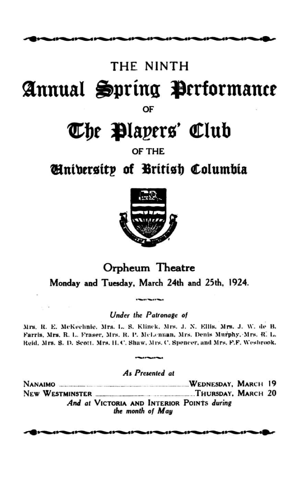### THE NINTH

# Annual Spring Performance

OF

## The Players' Club

### OF THE

### *Hniversity of British Columbia*



### Orpheum Theatre Monday and Tuesday, March 24th and 25th, 1924.

### Under the Patronage of

Mrs. R. E. McKechnie, Mrs. L. S. Klinck, Mrs. J. N. Ellis, Mrs. J. W. de B. Farris, Mrs. R. L. Fraser, Mrs. R. P. McLennan, Mrs. Denis Murphy, Mrs. R. L. Reid, Mrs. S. D. Scott. Mrs. H. C. Shaw, Mrs. C. Spencer, and Mrs. F.F. Wesbrook.

### As Presented at

NEW WESTMINSTER **MALLET AND SET ASSESS** THURSDAY, MARCH 20 And at VICTORIA AND INTERIOR POINTS during the month of May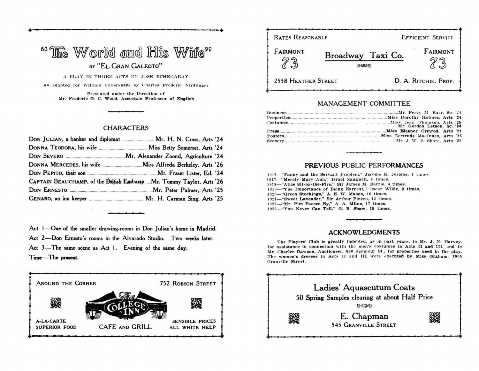### $^{\circ}$ <sup>66</sup> The World and His Wife" *or* **"EL GRAN GALEOTO"**

— •

A PLAY IN THREE ACTS BY JOSE ECHEGARAY As adapted for William Faversham by Charles Frederic Nirdlinger **Presented under the Direction of Mr. Frederic O. C. Wood, Associate Professor of English** 

#### **CHARACTERS**

| CAPTAIN BEAUCHAMP, of the British Embassy  Mr. Tommy Taylor, Arts '26 |  |
|-----------------------------------------------------------------------|--|
|                                                                       |  |
|                                                                       |  |

**Act I—One of the smaller drawing-rooms in Don Julian's home in Madrid. Act 2—Don Ernesto's rooms in the Alvarado Studio. Two weeks later. Act 3—The same scene as Act 1. Evening of the same day.** 

**Time—The present.** 



**! RATES REASONABLE EFFICIENT SERVICE FAIRMONT** FAIRMONT Broadway Taxi Co. 73  $73$ **i**  GUZO **i I** 2558 HEATHER STREET **D. A. RITCHIE, PROP. + — —** 

### **MANAGEMENT COMMITTEE**

| Mr. Gordon Letson, Sc. '24 |
|----------------------------|
|                            |
|                            |
|                            |

### **PREVIOUS** PUBLIC **PERFORMANCES**

**1S18—"Panny and the Servant Problem," Jerome K. Jerome. 4 times**  1917—"Merely Mary Ann." Israel Zangwill, 4 times. 1918-'Alice Sit-by-the-Fire," Sir James M. Barrie, 4 times. 1919-"The Importance of Being Earnest," Oscar Wilde, 3 times. 1920—"Green Stockings," A. E. W. Mason, 10 times. 1921-"Sweet Lavender," Sir Arthur Pinero, 12 times. 1922—"Mr. Pim Passes By," A. A. Milne, 17 times. 1923—"You Never Can Tell." G. B. Shaw, 15 times.

#### **ACKNOWLEDGMENTS**

**The Players' Club is greatly indebted, as in past years, to Mr. J. N. Harvey, for assistance in connection with ihe men's costumes in Acts II and ITI, and to Mr. Charles Dawson, Auctioneer. 66" Seymour St., for properties used in the play.**  The women's dresses in Acts II and III were executed by Miss Graham, 3005 **Granville Street.**